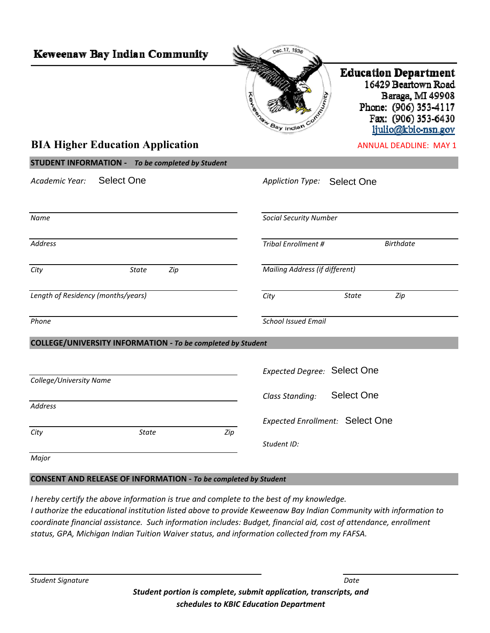| Keweenaw Bay Indian Community                               | nec.17, 1936                                                                                                                                                                    |  |  |  |
|-------------------------------------------------------------|---------------------------------------------------------------------------------------------------------------------------------------------------------------------------------|--|--|--|
|                                                             | <b>Education Department</b><br>16429 Beartown Road<br>Baraga, MI 49908<br>Phone: (906) 353-4117<br><b>Egg Transfer Day Indian</b><br>Fax: (906) 353-6430<br>ljulio@kbic-nsn.gov |  |  |  |
| <b>BIA Higher Education Application</b>                     | <b>ANNUAL DEADLINE: MAY 1</b>                                                                                                                                                   |  |  |  |
| <b>STUDENT INFORMATION - To be completed by Student</b>     |                                                                                                                                                                                 |  |  |  |
| <b>Select One</b><br>Academic Year:                         | Appliction Type: Select One                                                                                                                                                     |  |  |  |
| Name                                                        | <b>Social Security Number</b>                                                                                                                                                   |  |  |  |
| <b>Address</b>                                              | <b>Tribal Enrollment #</b><br><b>Birthdate</b>                                                                                                                                  |  |  |  |
| City<br>Zip<br>State                                        | Mailing Address (if different)                                                                                                                                                  |  |  |  |
| Length of Residency (months/years)                          | <b>State</b><br>Zip<br>City                                                                                                                                                     |  |  |  |
| Phone                                                       | <b>School Issued Email</b>                                                                                                                                                      |  |  |  |
| COLLEGE/UNIVERSITY INFORMATION - To be completed by Student |                                                                                                                                                                                 |  |  |  |
| College/University Name                                     | <b>Expected Degree: Select One</b>                                                                                                                                              |  |  |  |
| Address                                                     | Select One<br>Class Standing:                                                                                                                                                   |  |  |  |
|                                                             | <b>Expected Enrollment: Select One</b>                                                                                                                                          |  |  |  |
| City<br><b>State</b>                                        | Zip<br>Student ID:                                                                                                                                                              |  |  |  |
| Major                                                       |                                                                                                                                                                                 |  |  |  |

## **CONSENT AND RELEASE OF INFORMATION ‐** *To be completed by Student*

*I hereby certify the above information is true and complete to the best of my knowledge.* I authorize the educational institution listed above to provide Keweenaw Bay Indian Community with information to *coordinate financial assistance. Such information includes: Budget, financial aid, cost of attendance, enrollment status, GPA, Michigan Indian Tuition Waiver status, and information collected from my FAFSA.*

*Student Signature Date*

*Student portion is complete, submit application, transcripts, and schedules to KBIC Education Department*